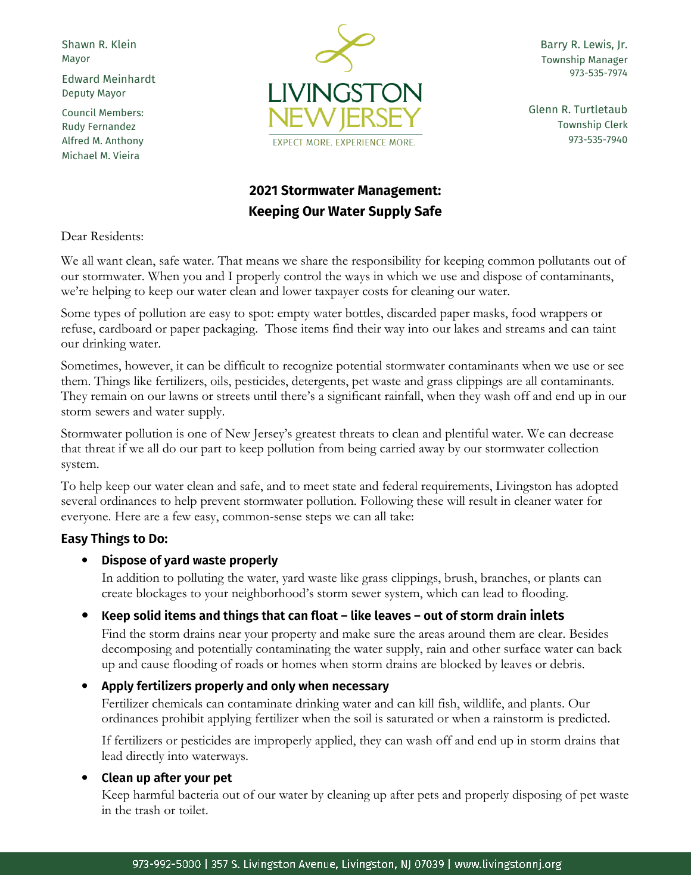Shawn R. Klein Mayor

Edward Meinhardt Deputy Mayor

Council Members: Rudy Fernandez Alfred M. Anthony Michael M. Vieira



Barry R. Lewis, Jr. Township Manager 973-535-7974

Glenn R. Turtletaub Township Clerk 973-535-7940

# **2021 Stormwater Management: Keeping Our Water Supply Safe**

Dear Residents:

We all want clean, safe water. That means we share the responsibility for keeping common pollutants out of our stormwater. When you and I properly control the ways in which we use and dispose of contaminants, we're helping to keep our water clean and lower taxpayer costs for cleaning our water.

Some types of pollution are easy to spot: empty water bottles, discarded paper masks, food wrappers or refuse, cardboard or paper packaging. Those items find their way into our lakes and streams and can taint our drinking water.

Sometimes, however, it can be difficult to recognize potential stormwater contaminants when we use or see them. Things like fertilizers, oils, pesticides, detergents, pet waste and grass clippings are all contaminants. They remain on our lawns or streets until there's a significant rainfall, when they wash off and end up in our storm sewers and water supply.

Stormwater pollution is one of New Jersey's greatest threats to clean and plentiful water. We can decrease that threat if we all do our part to keep pollution from being carried away by our stormwater collection system.

To help keep our water clean and safe, and to meet state and federal requirements, Livingston has adopted several ordinances to help prevent stormwater pollution. Following these will result in cleaner water for everyone. Here are a few easy, common-sense steps we can all take:

# **Easy Things to Do:**

## **Dispose of yard waste properly**

In addition to polluting the water, yard waste like grass clippings, brush, branches, or plants can create blockages to your neighborhood's storm sewer system, which can lead to flooding.

## **Keep solid items and things that can float – like leaves – out of storm drain inlets**

Find the storm drains near your property and make sure the areas around them are clear. Besides decomposing and potentially contaminating the water supply, rain and other surface water can back up and cause flooding of roads or homes when storm drains are blocked by leaves or debris.

## **Apply fertilizers properly and only when necessary**

Fertilizer chemicals can contaminate drinking water and can kill fish, wildlife, and plants. Our ordinances prohibit applying fertilizer when the soil is saturated or when a rainstorm is predicted.

If fertilizers or pesticides are improperly applied, they can wash off and end up in storm drains that lead directly into waterways.

## **Clean up after your pet**

Keep harmful bacteria out of our water by cleaning up after pets and properly disposing of pet waste in the trash or toilet.